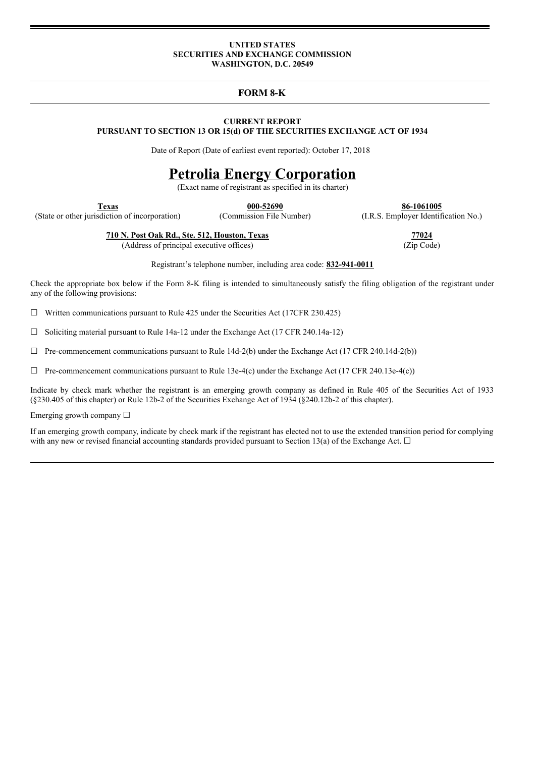#### **UNITED STATES SECURITIES AND EXCHANGE COMMISSION WASHINGTON, D.C. 20549**

**FORM 8-K**

#### **CURRENT REPORT PURSUANT TO SECTION 13 OR 15(d) OF THE SECURITIES EXCHANGE ACT OF 1934**

Date of Report (Date of earliest event reported): October 17, 2018

# **Petrolia Energy Corporation**

(Exact name of registrant as specified in its charter)

**Texas 000-52690 86-1061005**

(State or other jurisdiction of incorporation) (Commission File Number) (I.R.S. Employer Identification No.)

**710 N. Post Oak Rd., Ste. 512, Houston, Texas 77024**

(Address of principal executive offices) (Zip Code)

Registrant's telephone number, including area code: **832-941-0011**

Check the appropriate box below if the Form 8-K filing is intended to simultaneously satisfy the filing obligation of the registrant under any of the following provisions:

 $\Box$  Written communications pursuant to Rule 425 under the Securities Act (17CFR 230.425)

 $\Box$  Soliciting material pursuant to Rule 14a-12 under the Exchange Act (17 CFR 240.14a-12)

 $\Box$  Pre-commencement communications pursuant to Rule 14d-2(b) under the Exchange Act (17 CFR 240.14d-2(b))

 $\Box$  Pre-commencement communications pursuant to Rule 13e-4(c) under the Exchange Act (17 CFR 240.13e-4(c))

Indicate by check mark whether the registrant is an emerging growth company as defined in Rule 405 of the Securities Act of 1933 (§230.405 of this chapter) or Rule 12b-2 of the Securities Exchange Act of 1934 (§240.12b-2 of this chapter).

Emerging growth company  $\Box$ 

If an emerging growth company, indicate by check mark if the registrant has elected not to use the extended transition period for complying with any new or revised financial accounting standards provided pursuant to Section 13(a) of the Exchange Act.  $\Box$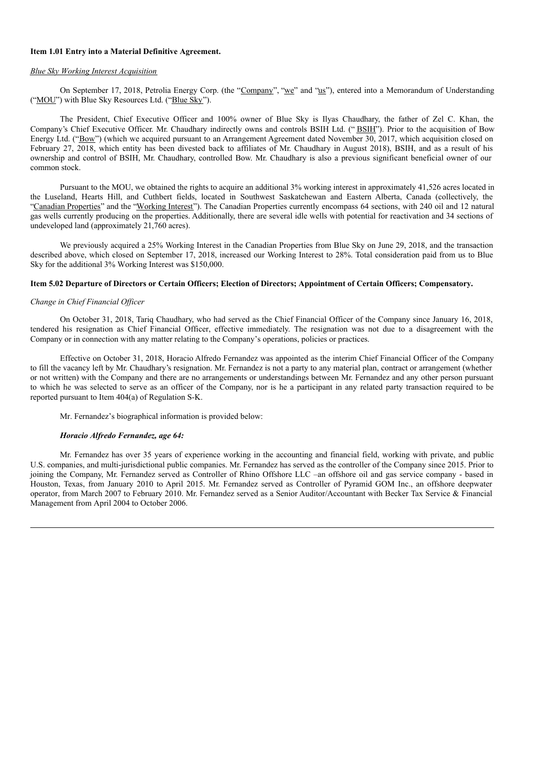#### **Item 1.01 Entry into a Material Definitive Agreement.**

#### *Blue Sky Working Interest Acquisition*

On September 17, 2018, Petrolia Energy Corp. (the "Company", "we" and "us"), entered into a Memorandum of Understanding ("MOU") with Blue Sky Resources Ltd. ("Blue Sky").

The President, Chief Executive Officer and 100% owner of Blue Sky is Ilyas Chaudhary, the father of Zel C. Khan, the Company's Chief Executive Officer. Mr. Chaudhary indirectly owns and controls BSIH Ltd. ("BSIH"). Prior to the acquisition of Bow Energy Ltd. ("Bow") (which we acquired pursuant to an Arrangement Agreement dated November 30, 2017, which acquisition closed on February 27, 2018, which entity has been divested back to affiliates of Mr. Chaudhary in August 2018), BSIH, and as a result of his ownership and control of BSIH, Mr. Chaudhary, controlled Bow. Mr. Chaudhary is also a previous significant beneficial owner of our common stock.

Pursuant to the MOU, we obtained the rights to acquire an additional 3% working interest in approximately 41,526 acres located in the Luseland, Hearts Hill, and Cuthbert fields, located in Southwest Saskatchewan and Eastern Alberta, Canada (collectively, the "Canadian Properties" and the "Working Interest"). The Canadian Properties currently encompass 64 sections, with 240 oil and 12 natural gas wells currently producing on the properties. Additionally, there are several idle wells with potential for reactivation and 34 sections of undeveloped land (approximately 21,760 acres).

We previously acquired a 25% Working Interest in the Canadian Properties from Blue Sky on June 29, 2018, and the transaction described above, which closed on September 17, 2018, increased our Working Interest to 28%. Total consideration paid from us to Blue Sky for the additional 3% Working Interest was \$150,000.

## Item 5.02 Departure of Directors or Certain Officers; Election of Directors; Appointment of Certain Officers; Compensatory.

#### *Change in Chief Financial Of icer*

On October 31, 2018, Tariq Chaudhary, who had served as the Chief Financial Officer of the Company since January 16, 2018, tendered his resignation as Chief Financial Officer, effective immediately. The resignation was not due to a disagreement with the Company or in connection with any matter relating to the Company's operations, policies or practices.

Effective on October 31, 2018, Horacio Alfredo Fernandez was appointed as the interim Chief Financial Officer of the Company to fill the vacancy left by Mr. Chaudhary's resignation. Mr. Fernandez is not a party to any material plan, contract or arrangement (whether or not written) with the Company and there are no arrangements or understandings between Mr. Fernandez and any other person pursuant to which he was selected to serve as an officer of the Company, nor is he a participant in any related party transaction required to be reported pursuant to Item 404(a) of Regulation S-K.

Mr. Fernandez's biographical information is provided below:

#### *Horacio Alfredo Fernandez, age 64:*

Mr. Fernandez has over 35 years of experience working in the accounting and financial field, working with private, and public U.S. companies, and multi-jurisdictional public companies. Mr. Fernandez has served as the controller of the Company since 2015. Prior to joining the Company, Mr. Fernandez served as Controller of Rhino Offshore LLC –an offshore oil and gas service company - based in Houston, Texas, from January 2010 to April 2015. Mr. Fernandez served as Controller of Pyramid GOM Inc., an offshore deepwater operator, from March 2007 to February 2010. Mr. Fernandez served as a Senior Auditor/Accountant with Becker Tax Service & Financial Management from April 2004 to October 2006.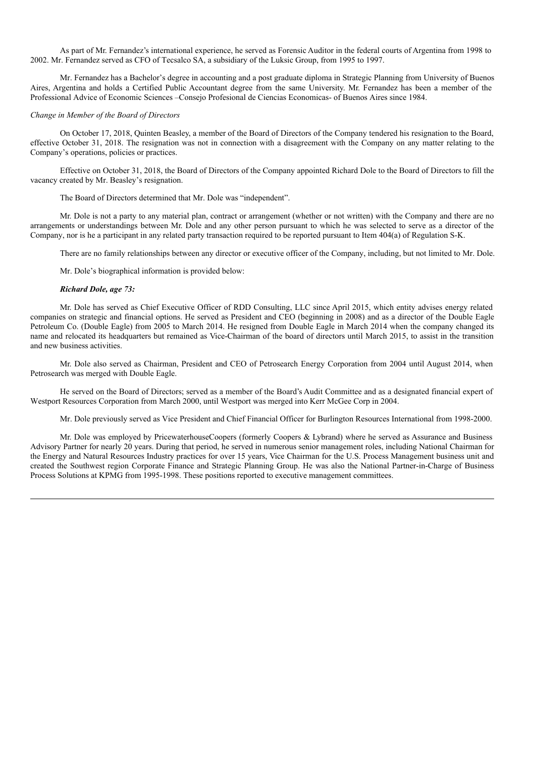As part of Mr. Fernandez's international experience, he served as Forensic Auditor in the federal courts of Argentina from 1998 to 2002. Mr. Fernandez served as CFO of Tecsalco SA, a subsidiary of the Luksic Group, from 1995 to 1997.

Mr. Fernandez has a Bachelor's degree in accounting and a post graduate diploma in Strategic Planning from University of Buenos Aires, Argentina and holds a Certified Public Accountant degree from the same University. Mr. Fernandez has been a member of the Professional Advice of Economic Sciences –Consejo Profesional de Ciencias Economicas- of Buenos Aires since 1984.

#### *Change in Member of the Board of Directors*

On October 17, 2018, Quinten Beasley, a member of the Board of Directors of the Company tendered his resignation to the Board, effective October 31, 2018. The resignation was not in connection with a disagreement with the Company on any matter relating to the Company's operations, policies or practices.

Effective on October 31, 2018, the Board of Directors of the Company appointed Richard Dole to the Board of Directors to fill the vacancy created by Mr. Beasley's resignation.

The Board of Directors determined that Mr. Dole was "independent".

Mr. Dole is not a party to any material plan, contract or arrangement (whether or not written) with the Company and there are no arrangements or understandings between Mr. Dole and any other person pursuant to which he was selected to serve as a director of the Company, nor is he a participant in any related party transaction required to be reported pursuant to Item 404(a) of Regulation S-K.

There are no family relationships between any director or executive officer of the Company, including, but not limited to Mr. Dole.

Mr. Dole's biographical information is provided below:

#### *Richard Dole, age 73:*

Mr. Dole has served as Chief Executive Officer of RDD Consulting, LLC since April 2015, which entity advises energy related companies on strategic and financial options. He served as President and CEO (beginning in 2008) and as a director of the Double Eagle Petroleum Co. (Double Eagle) from 2005 to March 2014. He resigned from Double Eagle in March 2014 when the company changed its name and relocated its headquarters but remained as Vice-Chairman of the board of directors until March 2015, to assist in the transition and new business activities.

Mr. Dole also served as Chairman, President and CEO of Petrosearch Energy Corporation from 2004 until August 2014, when Petrosearch was merged with Double Eagle.

He served on the Board of Directors; served as a member of the Board's Audit Committee and as a designated financial expert of Westport Resources Corporation from March 2000, until Westport was merged into Kerr McGee Corp in 2004.

Mr. Dole previously served as Vice President and Chief Financial Officer for Burlington Resources International from 1998-2000.

Mr. Dole was employed by PricewaterhouseCoopers (formerly Coopers & Lybrand) where he served as Assurance and Business Advisory Partner for nearly 20 years. During that period, he served in numerous senior management roles, including National Chairman for the Energy and Natural Resources Industry practices for over 15 years, Vice Chairman for the U.S. Process Management business unit and created the Southwest region Corporate Finance and Strategic Planning Group. He was also the National Partner-in-Charge of Business Process Solutions at KPMG from 1995-1998. These positions reported to executive management committees.